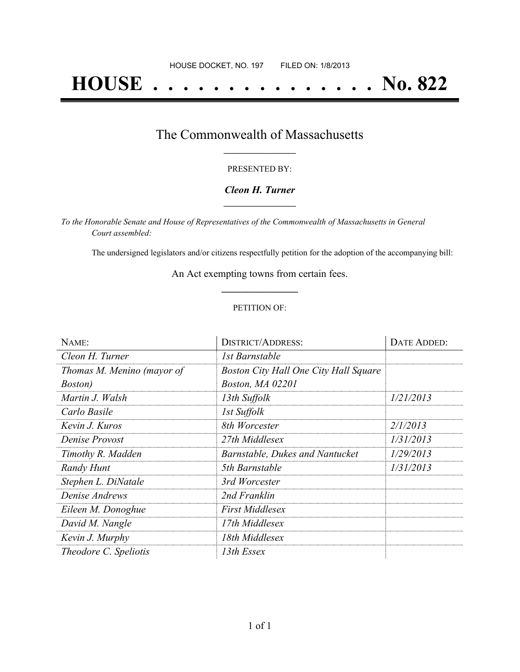# **HOUSE . . . . . . . . . . . . . . . No. 822**

### The Commonwealth of Massachusetts **\_\_\_\_\_\_\_\_\_\_\_\_\_\_\_\_\_**

#### PRESENTED BY:

#### *Cleon H. Turner* **\_\_\_\_\_\_\_\_\_\_\_\_\_\_\_\_\_**

*To the Honorable Senate and House of Representatives of the Commonwealth of Massachusetts in General Court assembled:*

The undersigned legislators and/or citizens respectfully petition for the adoption of the accompanying bill:

An Act exempting towns from certain fees. **\_\_\_\_\_\_\_\_\_\_\_\_\_\_\_**

#### PETITION OF:

| NAME:                      | DISTRICT/ADDRESS:                            | DATE ADDED: |
|----------------------------|----------------------------------------------|-------------|
| Cleon H. Turner            | 1st Barnstable                               |             |
| Thomas M. Menino (mayor of | <b>Boston City Hall One City Hall Square</b> |             |
| <i>Boston</i> )            | Boston, MA 02201                             |             |
| Martin J. Walsh            | 13th Suffolk                                 | 1/21/2013   |
| Carlo Basile               | 1st Suffolk                                  |             |
| Kevin J. Kuros             | 8th Worcester                                | 2/1/2013    |
| Denise Provost             | 27th Middlesex                               | 1/31/2013   |
| Timothy R. Madden          | Barnstable, Dukes and Nantucket              | 1/29/2013   |
| Randy Hunt                 | 5th Barnstable                               | 1/31/2013   |
| Stephen L. DiNatale        | 3rd Worcester                                |             |
| Denise Andrews             | 2nd Franklin                                 |             |
| Eileen M. Donoghue         | <b>First Middlesex</b>                       |             |
| David M. Nangle            | 17th Middlesex                               |             |
| Kevin J. Murphy            | 18th Middlesex                               |             |
| Theodore C. Speliotis      | 13th Essex                                   |             |